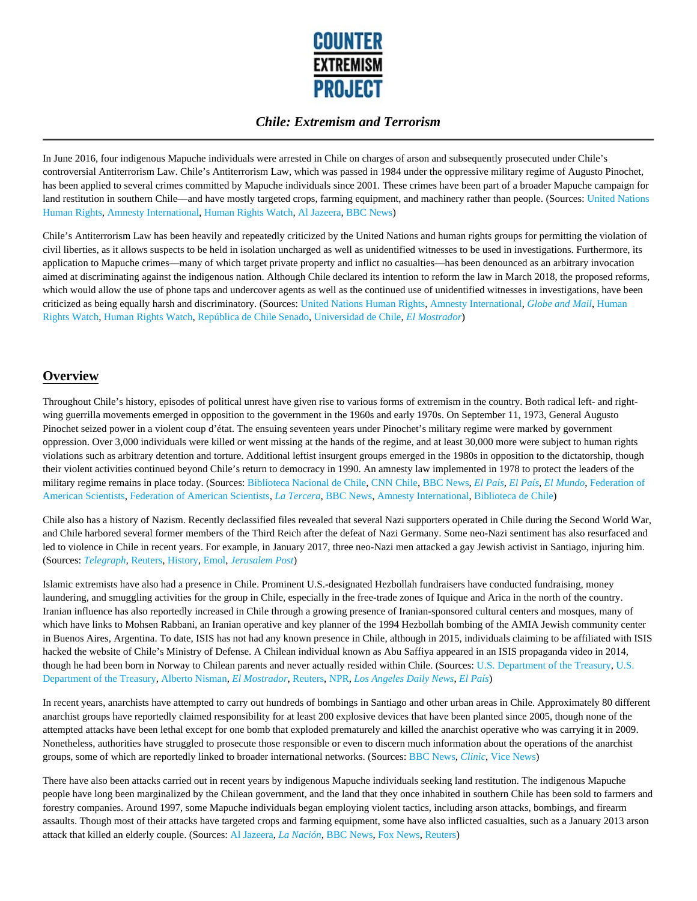

In June 2016, four indigenous Mapuche individuals were arrested in Chile on charges of arson and subsequently prosecuted under Chile's controversial Antiterrorism Law. Chile's Antiterrorism Law, which was passed in 1984 under the oppressive military regime of Augusto Pinochet, has been applied to several crimes committed by Mapuche individuals since 2001. These crimes have been part of a broader Mapuche campaign for land restitution in southern Chile––and have mostly targeted crops, farming equipment, and machinery rather than people. (Sources: United Nations Human Rights, Amnesty International, Human Rights Watch, Al Jazeera, BBC News)

Chile's Antiterrorism Law has been heavily and repeatedly criticized by the United Nations and human rights groups for permitting the violation of civil liberties, as it allows suspects to be held in isolation uncharged as well as unidentified witnesses to be used in investigations. Furthermore, its application to Mapuche crimes––many of which target private property and inflict no casualties––has been denounced as an arbitrary invocation aimed at discriminating against the indigenous nation. Although Chile declared its intention to reform the law in March 2018, the proposed reforms, which would allow the use of phone taps and undercover agents as well as the continued use of unidentified witnesses in investigations, have been criticized as being equally harsh and discriminatory. (Sources: United Nations Human Rights, Amnesty International, *Globe and Mail*, Human Rights Watch, Human Rights Watch, República de Chile Senado, Universidad de Chile, *El Mostrador*)

# **Overview**

Throughout Chile's history, episodes of political unrest have given rise to various forms of extremism in the country. Both radical left- and rightwing guerrilla movements emerged in opposition to the government in the 1960s and early 1970s. On September 11, 1973, General Augusto Pinochet seized power in a violent coup d'état. The ensuing seventeen years under Pinochet's military regime were marked by government oppression. Over 3,000 individuals were killed or went missing at the hands of the regime, and at least 30,000 more were subject to human rights violations such as arbitrary detention and torture. Additional leftist insurgent groups emerged in the 1980s in opposition to the dictatorship, though their violent activities continued beyond Chile's return to democracy in 1990. An amnesty law implemented in 1978 to protect the leaders of the military regime remains in place today. (Sources: Biblioteca Nacional de Chile, CNN Chile, BBC News, *El País, El País, El Mundo*, Federation of American Scientists, Federation of American Scientists, *La Tercera*, BBC News, Amnesty International, Biblioteca de Chile)

Chile also has a history of Nazism. Recently declassified files revealed that several Nazi supporters operated in Chile during the Second World War, and Chile harbored several former members of the Third Reich after the defeat of Nazi Germany. Some neo-Nazi sentiment has also resurfaced and led to violence in Chile in recent years. For example, in January 2017, three neo-Nazi men attacked a gay Jewish activist in Santiago, injuring him. (Sources: *Telegraph,* Reuters, History, Emol, *Jerusalem Post*)

Islamic extremists have also had a presence in Chile. Prominent U.S.-designated Hezbollah fundraisers have conducted fundraising, money laundering, and smuggling activities for the group in Chile, especially in the free-trade zones of Iquique and Arica in the north of the country. Iranian influence has also reportedly increased in Chile through a growing presence of Iranian-sponsored cultural centers and mosques, many of which have links to Mohsen Rabbani, an Iranian operative and key planner of the 1994 Hezbollah bombing of the AMIA Jewish community center in Buenos Aires, Argentina. To date, ISIS has not had any known presence in Chile, although in 2015, individuals claiming to be affiliated with ISIS hacked the website of Chile's Ministry of Defense. A Chilean individual known as Abu Saffiya appeared in an ISIS propaganda video in 2014, though he had been born in Norway to Chilean parents and never actually resided within Chile. (Sources: U.S. Department of the Treasury, U.S. Department of the Treasury, Alberto Nisman, *El Mostrador*, Reuters, NPR, *Los Angeles Daily News*, *El País*)

In recent years, anarchists have attempted to carry out hundreds of bombings in Santiago and other urban areas in Chile. Approximately 80 different anarchist groups have reportedly claimed responsibility for at least 200 explosive devices that have been planted since 2005, though none of the attempted attacks have been lethal except for one bomb that exploded prematurely and killed the anarchist operative who was carrying it in 2009. Nonetheless, authorities have struggled to prosecute those responsible or even to discern much information about the operations of the anarchist groups, some of which are reportedly linked to broader international networks. (Sources: BBC News, *Clinic*, Vice News)

There have also been attacks carried out in recent years by indigenous Mapuche individuals seeking land restitution. The indigenous Mapuche people have long been marginalized by the Chilean government, and the land that they once inhabited in southern Chile has been sold to farmers and forestry companies. Around 1997, some Mapuche individuals began employing violent tactics, including arson attacks, bombings, and firearm assaults. Though most of their attacks have targeted crops and farming equipment, some have also inflicted casualties, such as a January 2013 arson attack that killed an elderly couple. (Sources: Al Jazeera, *La Nación*, BBC News, Fox News, Reuters)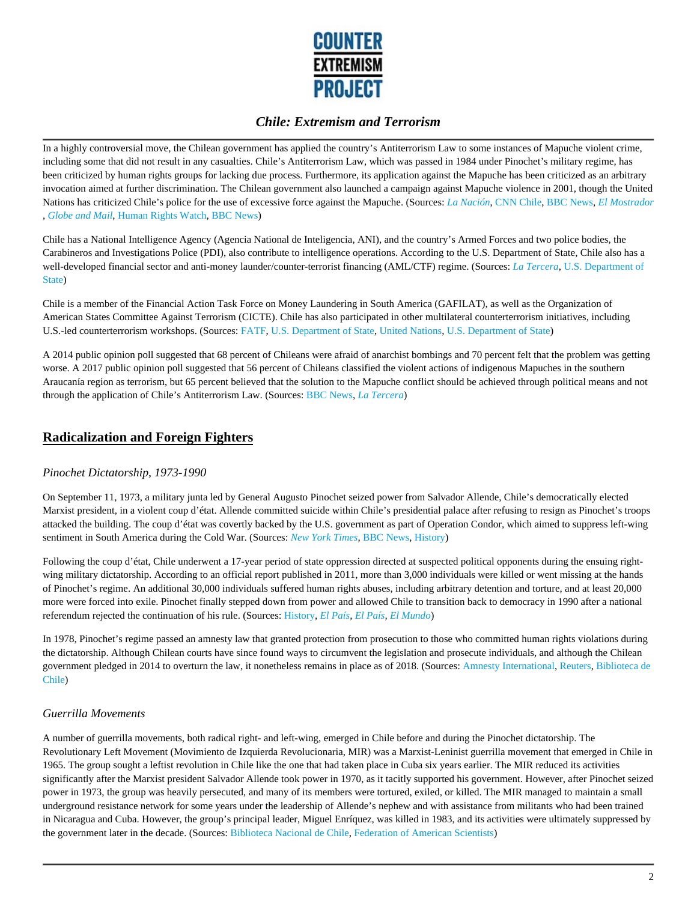

In a highly controversial move, the Chilean government has applied the country's Antiterrorism Law to some instances of Mapuche violent crime, including some that did not result in any casualties. Chile's Antiterrorism Law, which was passed in 1984 under Pinochet's military regime, has been criticized by human rights groups for lacking due process. Furthermore, its application against the Mapuche has been criticized as an arbitrary invocation aimed at further discrimination. The Chilean government also launched a campaign against Mapuche violence in 2001, though the United Nations has criticized Chile's police for the use of excessive force against the Mapuche. (Sources: *La Nación*, CNN Chile, BBC News, *El Mostrador* , *Globe and Mail*, Human Rights Watch, BBC News)

Chile has a National Intelligence Agency (Agencia National de Inteligencia, ANI), and the country's Armed Forces and two police bodies, the Carabineros and Investigations Police (PDI), also contribute to intelligence operations. According to the U.S. Department of State, Chile also has a well-developed financial sector and anti-money launder/counter-terrorist financing (AML/CTF) regime. (Sources: *La Tercera*, U.S. Department of State)

Chile is a member of the Financial Action Task Force on Money Laundering in South America (GAFILAT), as well as the Organization of American States Committee Against Terrorism (CICTE). Chile has also participated in other multilateral counterterrorism initiatives, including U.S.-led counterterrorism workshops. (Sources: FATF, U.S. Department of State, United Nations, U.S. Department of State)

A 2014 public opinion poll suggested that 68 percent of Chileans were afraid of anarchist bombings and 70 percent felt that the problem was getting worse. A 2017 public opinion poll suggested that 56 percent of Chileans classified the violent actions of indigenous Mapuches in the southern Araucanía region as terrorism, but 65 percent believed that the solution to the Mapuche conflict should be achieved through political means and not through the application of Chile's Antiterrorism Law. (Sources: BBC News, *La Tercera*)

### **Radicalization and Foreign Fighters**

### *Pinochet Dictatorship, 1973-1990*

On September 11, 1973, a military junta led by General Augusto Pinochet seized power from Salvador Allende, Chile's democratically elected Marxist president, in a violent coup d'état. Allende committed suicide within Chile's presidential palace after refusing to resign as Pinochet's troops attacked the building. The coup d'état was covertly backed by the U.S. government as part of Operation Condor, which aimed to suppress left-wing sentiment in South America during the Cold War. (Sources: *New York Times,* BBC News, History)

Following the coup d'état, Chile underwent a 17-year period of state oppression directed at suspected political opponents during the ensuing rightwing military dictatorship. According to an official report published in 2011, more than 3,000 individuals were killed or went missing at the hands of Pinochet's regime. An additional 30,000 individuals suffered human rights abuses, including arbitrary detention and torture, and at least 20,000 more were forced into exile. Pinochet finally stepped down from power and allowed Chile to transition back to democracy in 1990 after a national referendum rejected the continuation of his rule. (Sources: History, *El País, El País, El Mundo*)

In 1978, Pinochet's regime passed an amnesty law that granted protection from prosecution to those who committed human rights violations during the dictatorship. Although Chilean courts have since found ways to circumvent the legislation and prosecute individuals, and although the Chilean government pledged in 2014 to overturn the law, it nonetheless remains in place as of 2018. (Sources: Amnesty International, Reuters, Biblioteca de Chile)

### *Guerrilla Movements*

A number of guerrilla movements, both radical right- and left-wing, emerged in Chile before and during the Pinochet dictatorship. The Revolutionary Left Movement (Movimiento de Izquierda Revolucionaria, MIR) was a Marxist-Leninist guerrilla movement that emerged in Chile in 1965. The group sought a leftist revolution in Chile like the one that had taken place in Cuba six years earlier. The MIR reduced its activities significantly after the Marxist president Salvador Allende took power in 1970, as it tacitly supported his government. However, after Pinochet seized power in 1973, the group was heavily persecuted, and many of its members were tortured, exiled, or killed. The MIR managed to maintain a small underground resistance network for some years under the leadership of Allende's nephew and with assistance from militants who had been trained in Nicaragua and Cuba. However, the group's principal leader, Miguel Enríquez, was killed in 1983, and its activities were ultimately suppressed by the government later in the decade. (Sources: Biblioteca Nacional de Chile, Federation of American Scientists)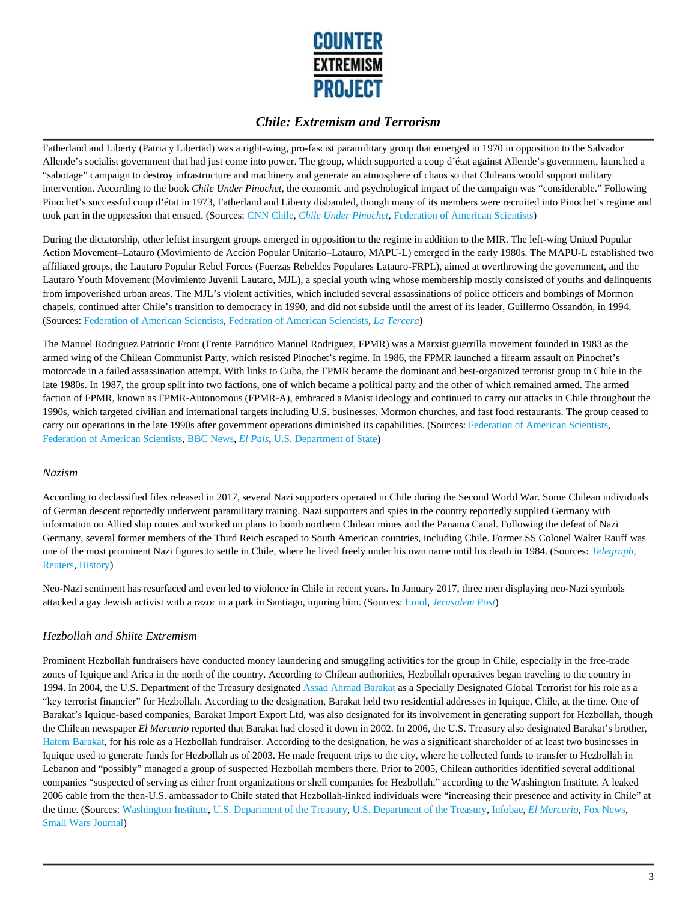

Fatherland and Liberty (Patria y Libertad) was a right-wing, pro-fascist paramilitary group that emerged in 1970 in opposition to the Salvador Allende's socialist government that had just come into power. The group, which supported a coup d'état against Allende's government, launched a "sabotage" campaign to destroy infrastructure and machinery and generate an atmosphere of chaos so that Chileans would support military intervention. According to the book *Chile Under Pinochet,* the economic and psychological impact of the campaign was "considerable." Following Pinochet's successful coup d'état in 1973, Fatherland and Liberty disbanded, though many of its members were recruited into Pinochet's regime and took part in the oppression that ensued. (Sources: CNN Chile, *Chile Under Pinochet*, Federation of American Scientists)

During the dictatorship, other leftist insurgent groups emerged in opposition to the regime in addition to the MIR. The left-wing United Popular Action Movement–Latauro (Movimiento de Acción Popular Unitario–Latauro, MAPU-L) emerged in the early 1980s. The MAPU-L established two affiliated groups, the Lautaro Popular Rebel Forces (Fuerzas Rebeldes Populares Latauro-FRPL), aimed at overthrowing the government, and the Lautaro Youth Movement (Movimiento Juvenil Lautaro, MJL), a special youth wing whose membership mostly consisted of youths and delinquents from impoverished urban areas. The MJL's violent activities, which included several assassinations of police officers and bombings of Mormon chapels, continued after Chile's transition to democracy in 1990, and did not subside until the arrest of its leader, Guillermo Ossandón, in 1994. (Sources: Federation of American Scientists, Federation of American Scientists, *La Tercera*)

The Manuel Rodriguez Patriotic Front (Frente Patriótico Manuel Rodriguez, FPMR) was a Marxist guerrilla movement founded in 1983 as the armed wing of the Chilean Communist Party, which resisted Pinochet's regime. In 1986, the FPMR launched a firearm assault on Pinochet's motorcade in a failed assassination attempt. With links to Cuba, the FPMR became the dominant and best-organized terrorist group in Chile in the late 1980s. In 1987, the group split into two factions, one of which became a political party and the other of which remained armed. The armed faction of FPMR, known as FPMR-Autonomous (FPMR-A), embraced a Maoist ideology and continued to carry out attacks in Chile throughout the 1990s, which targeted civilian and international targets including U.S. businesses, Mormon churches, and fast food restaurants. The group ceased to carry out operations in the late 1990s after government operations diminished its capabilities. (Sources: Federation of American Scientists, Federation of American Scientists, BBC News, *El País*, U.S. Department of State)

### *Nazism*

According to declassified files released in 2017, several Nazi supporters operated in Chile during the Second World War. Some Chilean individuals of German descent reportedly underwent paramilitary training. Nazi supporters and spies in the country reportedly supplied Germany with information on Allied ship routes and worked on plans to bomb northern Chilean mines and the Panama Canal. Following the defeat of Nazi Germany, several former members of the Third Reich escaped to South American countries, including Chile. Former SS Colonel Walter Rauff was one of the most prominent Nazi figures to settle in Chile, where he lived freely under his own name until his death in 1984. (Sources: *Telegraph,* Reuters, History)

Neo-Nazi sentiment has resurfaced and even led to violence in Chile in recent years. In January 2017, three men displaying neo-Nazi symbols attacked a gay Jewish activist with a razor in a park in Santiago, injuring him. (Sources: Emol, *Jerusalem Post*)

### *Hezbollah and Shiite Extremism*

Prominent Hezbollah fundraisers have conducted money laundering and smuggling activities for the group in Chile, especially in the free-trade zones of Iquique and Arica in the north of the country. According to Chilean authorities, Hezbollah operatives began traveling to the country in 1994. In 2004, the U.S. Department of the Treasury designated Assad Ahmad Barakat as a Specially Designated Global Terrorist for his role as a "key terrorist financier" for Hezbollah. According to the designation, Barakat held two residential addresses in Iquique, Chile, at the time. One of Barakat's Iquique-based companies, Barakat Import Export Ltd, was also designated for its involvement in generating support for Hezbollah, though the Chilean newspaper *El Mercurio* reported that Barakat had closed it down in 2002. In 2006, the U.S. Treasury also designated Barakat's brother, Hatem Barakat, for his role as a Hezbollah fundraiser. According to the designation, he was a significant shareholder of at least two businesses in Iquique used to generate funds for Hezbollah as of 2003. He made frequent trips to the city, where he collected funds to transfer to Hezbollah in Lebanon and "possibly" managed a group of suspected Hezbollah members there. Prior to 2005, Chilean authorities identified several additional companies "suspected of serving as either front organizations or shell companies for Hezbollah," according to the Washington Institute. A leaked 2006 cable from the then-U.S. ambassador to Chile stated that Hezbollah-linked individuals were "increasing their presence and activity in Chile" at the time. (Sources: Washington Institute, U.S. Department of the Treasury, U.S. Department of the Treasury, Infobae, *El Mercurio,* Fox News, Small Wars Journal)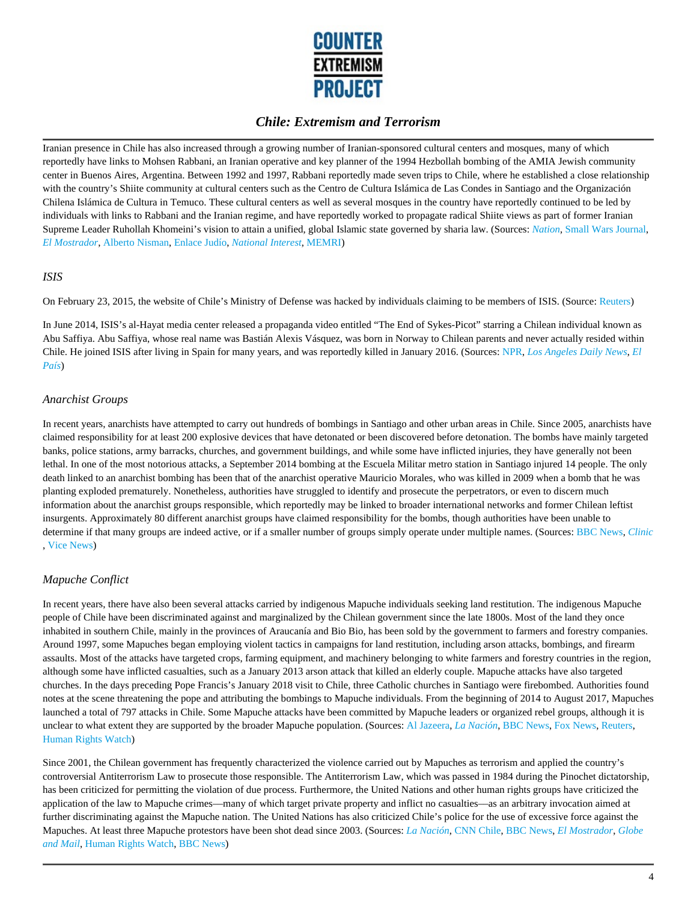

Iranian presence in Chile has also increased through a growing number of Iranian-sponsored cultural centers and mosques, many of which reportedly have links to Mohsen Rabbani, an Iranian operative and key planner of the 1994 Hezbollah bombing of the AMIA Jewish community center in Buenos Aires, Argentina. Between 1992 and 1997, Rabbani reportedly made seven trips to Chile, where he established a close relationship with the country's Shiite community at cultural centers such as the Centro de Cultura Islámica de Las Condes in Santiago and the Organización Chilena Islámica de Cultura in Temuco. These cultural centers as well as several mosques in the country have reportedly continued to be led by individuals with links to Rabbani and the Iranian regime, and have reportedly worked to propagate radical Shiite views as part of former Iranian Supreme Leader Ruhollah Khomeini's vision to attain a unified, global Islamic state governed by sharia law. (Sources: *Nation,* Small Wars Journal, *El Mostrador*, Alberto Nisman, Enlace Judío, *National Interest*, MEMRI)

#### *ISIS*

On February 23, 2015, the website of Chile's Ministry of Defense was hacked by individuals claiming to be members of ISIS. (Source: Reuters)

In June 2014, ISIS's al-Hayat media center released a propaganda video entitled "The End of Sykes-Picot" starring a Chilean individual known as Abu Saffiya. Abu Saffiya, whose real name was Bastián Alexis Vásquez, was born in Norway to Chilean parents and never actually resided within Chile. He joined ISIS after living in Spain for many years, and was reportedly killed in January 2016. (Sources: NPR, *Los Angeles Daily News*, *El País*)

#### *Anarchist Groups*

In recent years, anarchists have attempted to carry out hundreds of bombings in Santiago and other urban areas in Chile. Since 2005, anarchists have claimed responsibility for at least 200 explosive devices that have detonated or been discovered before detonation. The bombs have mainly targeted banks, police stations, army barracks, churches, and government buildings, and while some have inflicted injuries, they have generally not been lethal. In one of the most notorious attacks, a September 2014 bombing at the Escuela Militar metro station in Santiago injured 14 people. The only death linked to an anarchist bombing has been that of the anarchist operative Mauricio Morales, who was killed in 2009 when a bomb that he was planting exploded prematurely. Nonetheless, authorities have struggled to identify and prosecute the perpetrators, or even to discern much information about the anarchist groups responsible, which reportedly may be linked to broader international networks and former Chilean leftist insurgents. Approximately 80 different anarchist groups have claimed responsibility for the bombs, though authorities have been unable to determine if that many groups are indeed active, or if a smaller number of groups simply operate under multiple names. (Sources: BBC News, *Clinic* , Vice News)

### *Mapuche Conflict*

In recent years, there have also been several attacks carried by indigenous Mapuche individuals seeking land restitution. The indigenous Mapuche people of Chile have been discriminated against and marginalized by the Chilean government since the late 1800s. Most of the land they once inhabited in southern Chile, mainly in the provinces of Araucanía and Bio Bio, has been sold by the government to farmers and forestry companies. Around 1997, some Mapuches began employing violent tactics in campaigns for land restitution, including arson attacks, bombings, and firearm assaults. Most of the attacks have targeted crops, farming equipment, and machinery belonging to white farmers and forestry countries in the region, although some have inflicted casualties, such as a January 2013 arson attack that killed an elderly couple. Mapuche attacks have also targeted churches. In the days preceding Pope Francis's January 2018 visit to Chile, three Catholic churches in Santiago were firebombed. Authorities found notes at the scene threatening the pope and attributing the bombings to Mapuche individuals. From the beginning of 2014 to August 2017, Mapuches launched a total of 797 attacks in Chile. Some Mapuche attacks have been committed by Mapuche leaders or organized rebel groups, although it is unclear to what extent they are supported by the broader Mapuche population. (Sources: Al Jazeera, *La Nación*, BBC News, Fox News, Reuters, Human Rights Watch)

Since 2001, the Chilean government has frequently characterized the violence carried out by Mapuches as terrorism and applied the country's controversial Antiterrorism Law to prosecute those responsible. The Antiterrorism Law, which was passed in 1984 during the Pinochet dictatorship, has been criticized for permitting the violation of due process. Furthermore, the United Nations and other human rights groups have criticized the application of the law to Mapuche crimes––many of which target private property and inflict no casualties––as an arbitrary invocation aimed at further discriminating against the Mapuche nation. The United Nations has also criticized Chile's police for the use of excessive force against the Mapuches. At least three Mapuche protestors have been shot dead since 2003. (Sources: *La Nación*, CNN Chile, BBC News, *El Mostrador*, *Globe and Mail*, Human Rights Watch, BBC News)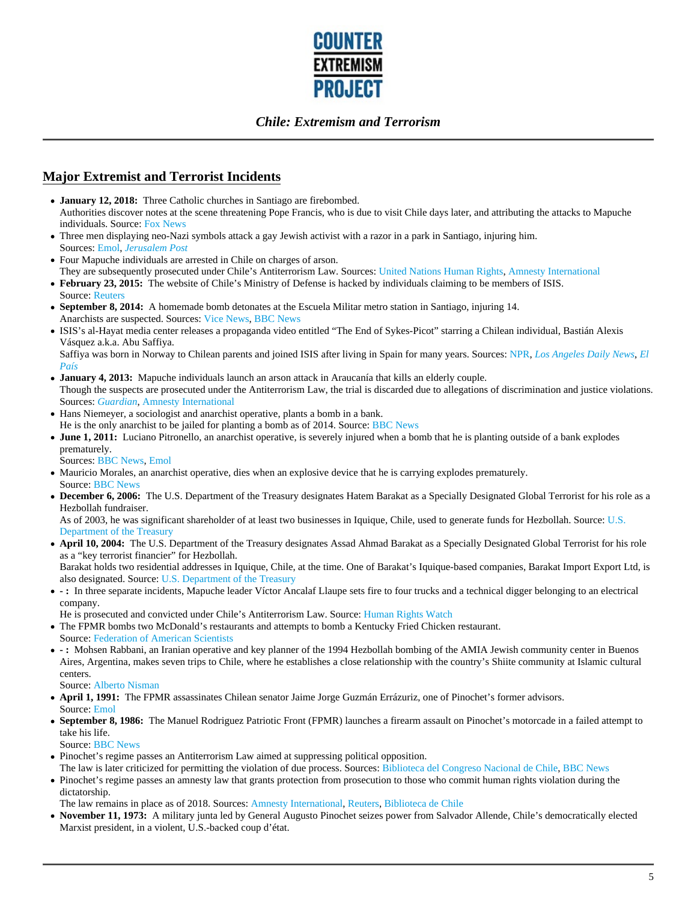

# **Major Extremist and Terrorist Incidents**

- **January 12, 2018:** Three Catholic churches in Santiago are firebombed. Authorities discover notes at the scene threatening Pope Francis, who is due to visit Chile days later, and attributing the attacks to Mapuche individuals. Source: Fox News
- Three men displaying neo-Nazi symbols attack a gay Jewish activist with a razor in a park in Santiago, injuring him. Sources: Emol, *Jerusalem Post*
- Four Mapuche individuals are arrested in Chile on charges of arson. They are subsequently prosecuted under Chile's Antiterrorism Law. Sources: United Nations Human Rights, Amnesty International
- **February 23, 2015:** The website of Chile's Ministry of Defense is hacked by individuals claiming to be members of ISIS. Source: Reuters
- **September 8, 2014:** A homemade bomb detonates at the Escuela Militar metro station in Santiago, injuring 14. Anarchists are suspected. Sources: Vice News, BBC News
- ISIS's al-Hayat media center releases a propaganda video entitled "The End of Sykes-Picot" starring a Chilean individual, Bastián Alexis Vásquez a.k.a. Abu Saffiya.

Saffiya was born in Norway to Chilean parents and joined ISIS after living in Spain for many years. Sources: NPR, *Los Angeles Daily News*, *El País*

- **January 4, 2013:** Mapuche individuals launch an arson attack in Araucanía that kills an elderly couple. Though the suspects are prosecuted under the Antiterrorism Law, the trial is discarded due to allegations of discrimination and justice violations. Sources: *Guardian*, Amnesty International
- Hans Niemeyer, a sociologist and anarchist operative, plants a bomb in a bank. He is the only anarchist to be jailed for planting a bomb as of 2014. Source: BBC News
- **June 1, 2011:** Luciano Pitronello, an anarchist operative, is severely injured when a bomb that he is planting outside of a bank explodes prematurely.

Sources: BBC News, Emol

- Mauricio Morales, an anarchist operative, dies when an explosive device that he is carrying explodes prematurely. Source: BBC News
- **December 6, 2006:** The U.S. Department of the Treasury designates Hatem Barakat as a Specially Designated Global Terrorist for his role as a Hezbollah fundraiser.

As of 2003, he was significant shareholder of at least two businesses in Iquique, Chile, used to generate funds for Hezbollah. Source: U.S. Department of the Treasury

**April 10, 2004:** The U.S. Department of the Treasury designates Assad Ahmad Barakat as a Specially Designated Global Terrorist for his role as a "key terrorist financier" for Hezbollah.

Barakat holds two residential addresses in Iquique, Chile, at the time. One of Barakat's Iquique-based companies, Barakat Import Export Ltd, is also designated. Source: U.S. Department of the Treasury

**- :** In three separate incidents, Mapuche leader Víctor Ancalaf Llaupe sets fire to four trucks and a technical digger belonging to an electrical company.

He is prosecuted and convicted under Chile's Antiterrorism Law. Source: Human Rights Watch

- The FPMR bombs two McDonald's restaurants and attempts to bomb a Kentucky Fried Chicken restaurant. Source: Federation of American Scientists
- **:** Mohsen Rabbani, an Iranian operative and key planner of the 1994 Hezbollah bombing of the AMIA Jewish community center in Buenos Aires, Argentina, makes seven trips to Chile, where he establishes a close relationship with the country's Shiite community at Islamic cultural centers.

Source: Alberto Nisman

- **April 1, 1991:** The FPMR assassinates Chilean senator Jaime Jorge Guzmán Errázuriz, one of Pinochet's former advisors. Source: Emol
- **September 8, 1986:** The Manuel Rodriguez Patriotic Front (FPMR) launches a firearm assault on Pinochet's motorcade in a failed attempt to take his life.

Source: BBC News

- Pinochet's regime passes an Antiterrorism Law aimed at suppressing political opposition.
- The law is later criticized for permitting the violation of due process. Sources: Biblioteca del Congreso Nacional de Chile, BBC News
- Pinochet's regime passes an amnesty law that grants protection from prosecution to those who commit human rights violation during the dictatorship.

The law remains in place as of 2018. Sources: Amnesty International, Reuters, Biblioteca de Chile

**November 11, 1973:** A military junta led by General Augusto Pinochet seizes power from Salvador Allende, Chile's democratically elected Marxist president, in a violent, U.S.-backed coup d'état.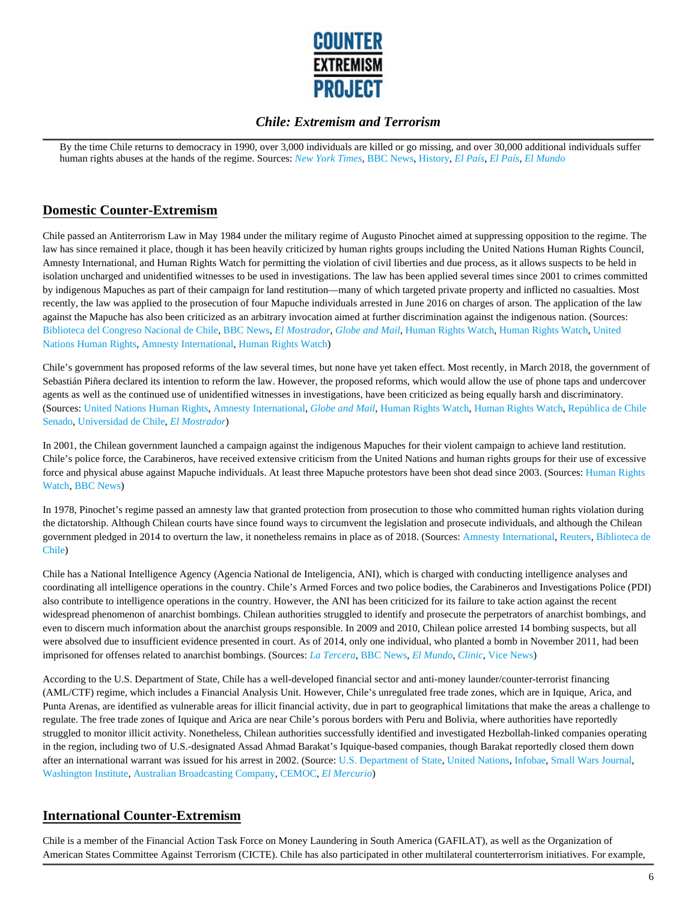

By the time Chile returns to democracy in 1990, over 3,000 individuals are killed or go missing, and over 30,000 additional individuals suffer human rights abuses at the hands of the regime. Sources: *New York Times,* BBC News, History, *El País, El País, El Mundo*

# **Domestic Counter-Extremism**

Chile passed an Antiterrorism Law in May 1984 under the military regime of Augusto Pinochet aimed at suppressing opposition to the regime. The law has since remained it place, though it has been heavily criticized by human rights groups including the United Nations Human Rights Council, Amnesty International, and Human Rights Watch for permitting the violation of civil liberties and due process, as it allows suspects to be held in isolation uncharged and unidentified witnesses to be used in investigations. The law has been applied several times since 2001 to crimes committed by indigenous Mapuches as part of their campaign for land restitution––many of which targeted private property and inflicted no casualties. Most recently, the law was applied to the prosecution of four Mapuche individuals arrested in June 2016 on charges of arson. The application of the law against the Mapuche has also been criticized as an arbitrary invocation aimed at further discrimination against the indigenous nation. (Sources: Biblioteca del Congreso Nacional de Chile, BBC News, *El Mostrador*, *Globe and Mail*, Human Rights Watch, Human Rights Watch, United Nations Human Rights, Amnesty International, Human Rights Watch)

Chile's government has proposed reforms of the law several times, but none have yet taken effect. Most recently, in March 2018, the government of Sebastián Piñera declared its intention to reform the law. However, the proposed reforms, which would allow the use of phone taps and undercover agents as well as the continued use of unidentified witnesses in investigations, have been criticized as being equally harsh and discriminatory. (Sources: United Nations Human Rights, Amnesty International, *Globe and Mail*, Human Rights Watch, Human Rights Watch, República de Chile Senado, Universidad de Chile, *El Mostrador*)

In 2001, the Chilean government launched a campaign against the indigenous Mapuches for their violent campaign to achieve land restitution. Chile's police force, the Carabineros, have received extensive criticism from the United Nations and human rights groups for their use of excessive force and physical abuse against Mapuche individuals. At least three Mapuche protestors have been shot dead since 2003. (Sources: Human Rights Watch, BBC News)

In 1978, Pinochet's regime passed an amnesty law that granted protection from prosecution to those who committed human rights violation during the dictatorship. Although Chilean courts have since found ways to circumvent the legislation and prosecute individuals, and although the Chilean government pledged in 2014 to overturn the law, it nonetheless remains in place as of 2018. (Sources: Amnesty International, Reuters, Biblioteca de Chile)

Chile has a National Intelligence Agency (Agencia National de Inteligencia, ANI), which is charged with conducting intelligence analyses and coordinating all intelligence operations in the country. Chile's Armed Forces and two police bodies, the Carabineros and Investigations Police (PDI) also contribute to intelligence operations in the country. However, the ANI has been criticized for its failure to take action against the recent widespread phenomenon of anarchist bombings. Chilean authorities struggled to identify and prosecute the perpetrators of anarchist bombings, and even to discern much information about the anarchist groups responsible. In 2009 and 2010, Chilean police arrested 14 bombing suspects, but all were absolved due to insufficient evidence presented in court. As of 2014, only one individual, who planted a bomb in November 2011, had been imprisoned for offenses related to anarchist bombings. (Sources: *La Tercera*, BBC News, *El Mundo, Clinic*, Vice News)

According to the U.S. Department of State, Chile has a well-developed financial sector and anti-money launder/counter-terrorist financing (AML/CTF) regime, which includes a Financial Analysis Unit. However, Chile's unregulated free trade zones, which are in Iquique, Arica, and Punta Arenas, are identified as vulnerable areas for illicit financial activity, due in part to geographical limitations that make the areas a challenge to regulate. The free trade zones of Iquique and Arica are near Chile's porous borders with Peru and Bolivia, where authorities have reportedly struggled to monitor illicit activity. Nonetheless, Chilean authorities successfully identified and investigated Hezbollah-linked companies operating in the region, including two of U.S.-designated Assad Ahmad Barakat's Iquique-based companies, though Barakat reportedly closed them down after an international warrant was issued for his arrest in 2002. (Source: U.S. Department of State, United Nations, Infobae, Small Wars Journal, Washington Institute, Australian Broadcasting Company, CEMOC, *El Mercurio*)

# **International Counter-Extremism**

Chile is a member of the Financial Action Task Force on Money Laundering in South America (GAFILAT), as well as the Organization of American States Committee Against Terrorism (CICTE). Chile has also participated in other multilateral counterterrorism initiatives. For example,